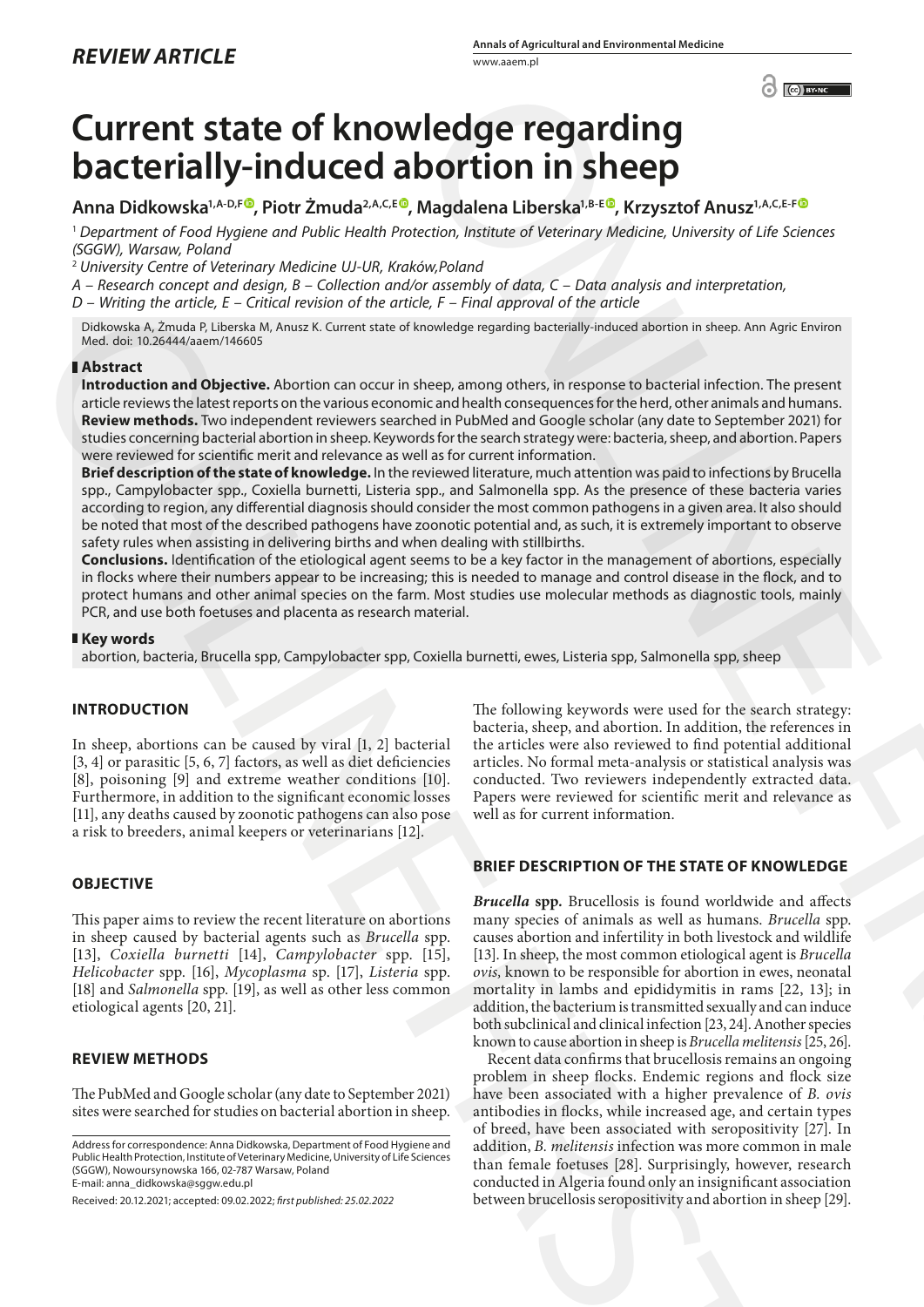# **Current state of knowledge regarding bacterially-induced abortion in sheep**

# **Anna Didkowska1,A-D,F [,](https://orcid.org/0000-0003-1073-174X) Piotr Żmuda2,A,C,[E](https://orcid.org/0000-0002-1988-9730) , Magdalena Liberska1,B-E , Krzysztof Anusz1,A,C,E-F**

<sup>1</sup> *Department of Food Hygiene and Public Health Protection, Institute of Veterinary Medicine, University of Life Sciences (SGGW), Warsaw, Poland*

<sup>2</sup> *University Centre of Veterinary Medicine UJ-UR, Kraków,Poland*

*A – Research concept and design, B – Collection and/or assembly of data, C – Data analysis and interpretation, D – Writing the article, E – Critical revision of the article, F – Final approval of the article*

Didkowska A, Żmuda P, Liberska M, Anusz K. Current state of knowledge regarding bacterially-induced abortion in sheep. Ann Agric Environ Med. doi: 10.26444/aaem/146605

#### **Abstract**

**Introduction and Objective.** Abortion can occur in sheep, among others, in response to bacterial infection. The present article reviews the latest reports on the various economic and health consequences for the herd, other animals and humans. **Review methods.** Two independent reviewers searched in PubMed and Google scholar (any date to September 2021) for studies concerning bacterial abortion in sheep. Keywords for the search strategy were: bacteria, sheep, and abortion. Papers were reviewed for scientific merit and relevance as well as for current information.

**Brief description of the state of knowledge.** In the reviewed literature, much attention was paid to infections by Brucella spp., Campylobacter spp., Coxiella burnetti, Listeria spp., and Salmonella spp. As the presence of these bacteria varies according to region, any differential diagnosis should consider the most common pathogens in a given area. It also should be noted that most of the described pathogens have zoonotic potential and, as such, it is extremely important to observe safety rules when assisting in delivering births and when dealing with stillbirths. Denotes the distribution of the state. The main opposite is not the state of the state of the state of the state of the state of the state of the state of the state of the state of the state of the state of the state is t

**Conclusions.** Identification of the etiological agent seems to be a key factor in the management of abortions, especially in flocks where their numbers appear to be increasing; this is needed to manage and control disease in the flock, and to protect humans and other animal species on the farm. Most studies use molecular methods as diagnostic tools, mainly PCR, and use both foetuses and placenta as research material.

#### **Key words**

abortion, bacteria, Brucella spp, Campylobacter spp, Coxiella burnetti, ewes, Listeria spp, Salmonella spp, sheep

# **INTRODUCTION**

In sheep, abortions can be caused by viral [1, 2] bacterial [3, 4] or parasitic [5, 6, 7] factors, as well as diet deficiencies [8], poisoning [9] and extreme weather conditions [10]. Furthermore, in addition to the significant economic losses [11], any deaths caused by zoonotic pathogens can also pose a risk to breeders, animal keepers or veterinarians [12].

# **OBJECTIVE**

This paper aims to review the recent literature on abortions in sheep caused by bacterial agents such as *Brucella* spp. [13], *Coxiella burnetti* [14], *Campylobacter* spp. [15], *Helicobacter* spp. [16], *Mycoplasma* sp. [17], *Listeria* spp. [18] and *Salmonella* spp. [19], as well as other less common etiological agents [20, 21].

#### **REVIEW METHODS**

The PubMed and Google scholar (any date to September 2021) sites were searched for studies on bacterial abortion in sheep.

Address for correspondence: Anna Didkowska, Department of Food Hygiene and Public Health Protection, Institute of Veterinary Medicine, University of Life Sciences (SGGW), Nowoursynowska 166, 02-787 Warsaw, Poland E-mail: anna\_didkowska@sggw.edu.pl

Received: 20.12.2021; accepted: 09.02.2022; *first published: 25.02.2022*

The following keywords were used for the search strategy: bacteria, sheep, and abortion. In addition, the references in the articles were also reviewed to find potential additional articles. No formal meta-analysis or statistical analysis was conducted. Two reviewers independently extracted data. Papers were reviewed for scientific merit and relevance as well as for current information.

# **BRIEF DESCRIPTION OF THE STATE OF KNOWLEDGE**

*Brucella* **spp***.* Brucellosis is found worldwide and affects many species of animals as well as humans. *Brucella* spp. causes abortion and infertility in both livestock and wildlife [13]. In sheep, the most common etiological agent is *Brucella ovis,* known to be responsible for abortion in ewes, neonatal mortality in lambs and epididymitis in rams [22, 13]; in addition, the bacterium is transmitted sexually and can induce both subclinical and clinical infection [23, 24]. Another species known to cause abortion in sheep is *Brucella melitensis* [25, 26]. Conservation in **Sheep** Conservative Conservative Conservative Conservative Conservative Conservative Conservative Conservative Conservative Conservative Conservative Conservative Conservative Conservative Conservative Co

Recent data confirms that brucellosis remains an ongoing problem in sheep flocks. Endemic regions and flock size have been associated with a higher prevalence of *B. ovis*  antibodies in flocks, while increased age, and certain types of breed, have been associated with seropositivity [27]. In addition, *B. melitensis* infection was more common in male than female foetuses [28]. Surprisingly, however, research conducted in Algeria found only an insignificant association between brucellosis seropositivity and abortion in sheep [29].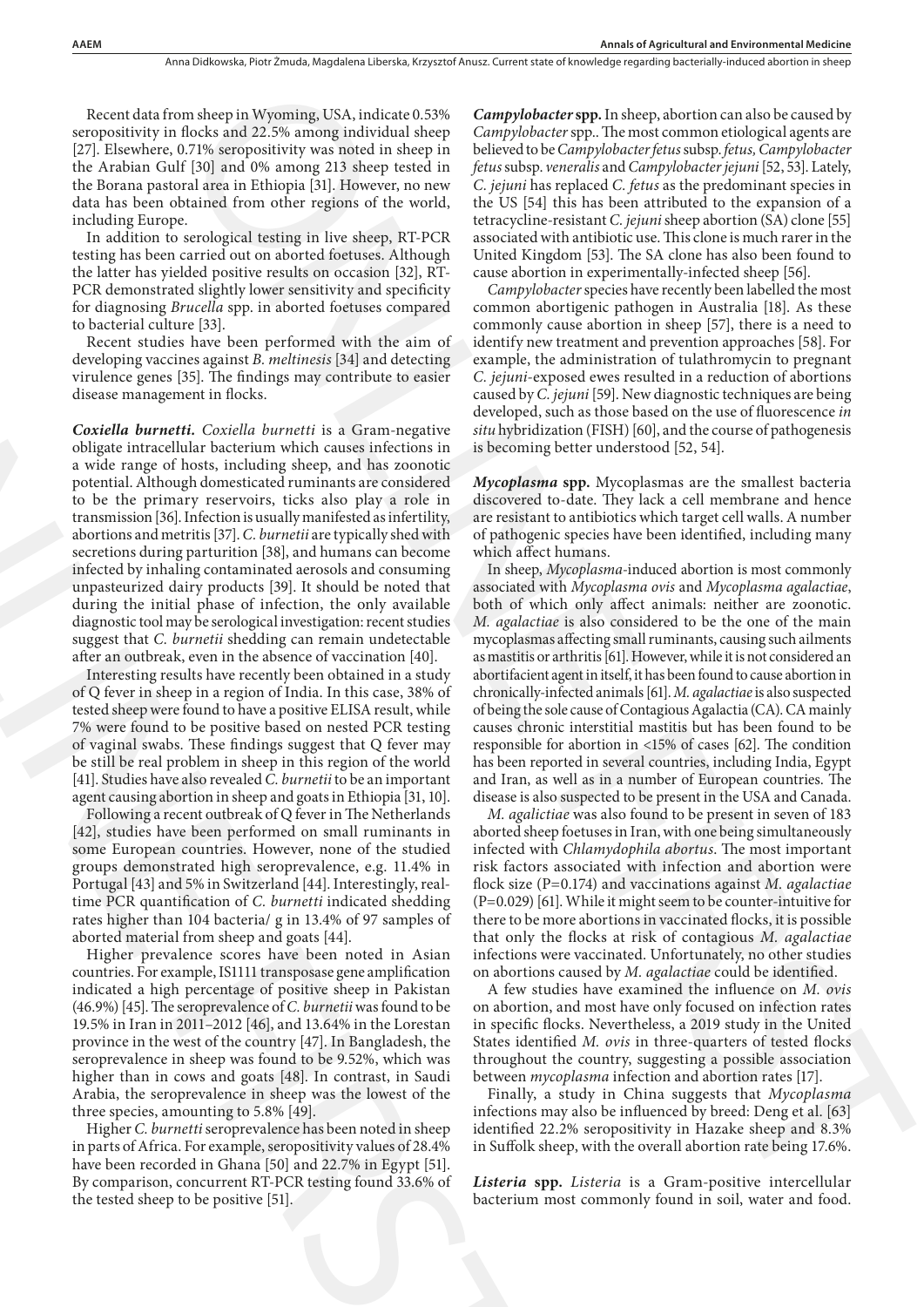Recent data from sheep in Wyoming, USA, indicate 0.53% seropositivity in flocks and 22.5% among individual sheep [27]. Elsewhere, 0.71% seropositivity was noted in sheep in the Arabian Gulf [30] and 0% among 213 sheep tested in the Borana pastoral area in Ethiopia [31]. However, no new data has been obtained from other regions of the world, including Europe.

In addition to serological testing in live sheep, RT-PCR testing has been carried out on aborted foetuses. Although the latter has yielded positive results on occasion [32], RT-PCR demonstrated slightly lower sensitivity and specificity for diagnosing *Brucella* spp. in aborted foetuses compared to bacterial culture [33].

Recent studies have been performed with the aim of developing vaccines against *B. meltinesis* [34] and detecting virulence genes [35]. The findings may contribute to easier disease management in flocks.

*Coxiella burnetti. Coxiella burnetti* is a Gram-negative obligate intracellular bacterium which causes infections in a wide range of hosts, including sheep, and has zoonotic potential. Although domesticated ruminants are considered to be the primary reservoirs, ticks also play a role in transmission [36]. Infection is usually manifested as infertility, abortions and metritis [37]. *C. burnetii* are typically shed with secretions during parturition [38], and humans can become infected by inhaling contaminated aerosols and consuming unpasteurized dairy products [39]. It should be noted that during the initial phase of infection, the only available diagnostic tool may be serological investigation: recent studies suggest that *C. burnetii* shedding can remain undetectable after an outbreak, even in the absence of vaccination [40]. for diagnosis *Partezlia* step. in aborted foctures compared common<br>to diagnosis *Partezli*a channel with the sim of lactuating<br>deceloping vaccinos agains<br>1.8 *R*ecelos that the simulation is a Granulus of the simulation

Interesting results have recently been obtained in a study of Q fever in sheep in a region of India. In this case, 38% of tested sheep were found to have a positive ELISA result, while 7% were found to be positive based on nested PCR testing of vaginal swabs. These findings suggest that Q fever may be still be real problem in sheep in this region of the world [41]. Studies have also revealed *C. burnetii* to be an important agent causing abortion in sheep and goats in Ethiopia [31, 10].

Following a recent outbreak of Q fever in The Netherlands [42], studies have been performed on small ruminants in some European countries. However, none of the studied groups demonstrated high seroprevalence, e.g. 11.4% in Portugal [43] and 5% in Switzerland [44]. Interestingly, realtime PCR quantification of *C. burnetti* indicated shedding rates higher than 104 bacteria/ g in 13.4% of 97 samples of aborted material from sheep and goats [44].

Higher prevalence scores have been noted in Asian countries. For example, IS1111 transposase gene amplification indicated a high percentage of positive sheep in Pakistan (46.9%) [45]. The seroprevalence of *C. burnetii* was found to be 19.5% in Iran in 2011–2012 [46], and 13.64% in the Lorestan province in the west of the country [47]. In Bangladesh, the seroprevalence in sheep was found to be 9.52%, which was higher than in cows and goats [48]. In contrast, in Saudi Arabia, the seroprevalence in sheep was the lowest of the three species, amounting to 5.8% [49].

Higher *C. burnetti* seroprevalence has been noted in sheep in parts of Africa. For example, seropositivity values of 28.4% have been recorded in Ghana [50] and 22.7% in Egypt [51]. By comparison, concurrent RT-PCR testing found 33.6% of the tested sheep to be positive [51].

*Campylobacter* **spp.** In sheep, abortion can also be caused by *Campylobacter* spp.. The most common etiological agents are believed to be *Campylobacter fetus* subsp. *fetus, Campylobacter fetus* subsp. *veneralis* and *Campylobacter jejuni* [52, 53]. Lately, *C. jejuni* has replaced *C. fetus* as the predominant species in the US [54] this has been attributed to the expansion of a tetracycline-resistant *C. jejuni* sheep abortion (SA) clone [55] associated with antibiotic use. This clone is much rarer in the United Kingdom [53]. The SA clone has also been found to cause abortion in experimentally-infected sheep [56].

*Campylobacter* species have recently been labelled the most common abortigenic pathogen in Australia [18]. As these commonly cause abortion in sheep [57], there is a need to identify new treatment and prevention approaches [58]. For example, the administration of tulathromycin to pregnant *C. jejuni-*exposed ewes resulted in a reduction of abortions caused by *C. jejuni* [59]. New diagnostic techniques are being developed, such as those based on the use of fluorescence *in situ* hybridization (FISH) [60], and the course of pathogenesis is becoming better understood [52, 54].

*Mycoplasma* **spp.** Mycoplasmas are the smallest bacteria discovered to-date. They lack a cell membrane and hence are resistant to antibiotics which target cell walls. A number of pathogenic species have been identified, including many which affect humans.

In sheep, *Mycoplasma*-induced abortion is most commonly associated with *Mycoplasma ovis* and *Mycoplasma agalactiae*, both of which only affect animals: neither are zoonotic. *M. agalactiae* is also considered to be the one of the main mycoplasmas affecting small ruminants, causing such ailments as mastitis or arthritis [61]. However, while it is not considered an abortifacient agent in itself, it has been found to cause abortion in chronically-infected animals [61]. *M. agalactiae* is also suspected of being the sole cause of Contagious Agalactia (CA). CA mainly causes chronic interstitial mastitis but has been found to be responsible for abortion in <15% of cases [62]. The condition has been reported in several countries, including India, Egypt and Iran, as well as in a number of European countries. The disease is also suspected to be present in the USA and Canada. m sheep in Wysterling USA, indicate 0.5%<br>
Compyblooder spp. Indexp, describes the state of the consistent of the state of the state of the state of the state of the state of the state of the state of the state of the stat

*M. agalictiae* was also found to be present in seven of 183 aborted sheep foetuses in Iran, with one being simultaneously infected with *Chlamydophila abortus*. The most important risk factors associated with infection and abortion were flock size (P=0.174) and vaccinations against *M. agalactiae*  (P=0.029) [61]. While it might seem to be counter-intuitive for there to be more abortions in vaccinated flocks, it is possible that only the flocks at risk of contagious *M. agalactiae*  infections were vaccinated. Unfortunately, no other studies on abortions caused by *M. agalactiae* could be identified.

A few studies have examined the influence on *M. ovis*  on abortion, and most have only focused on infection rates in specific flocks. Nevertheless, a 2019 study in the United States identified *M. ovis* in three-quarters of tested flocks throughout the country, suggesting a possible association between *mycoplasma* infection and abortion rates [17].

Finally, a study in China suggests that *Mycoplasma*  infections may also be influenced by breed: Deng et al. [63] identified 22.2% seropositivity in Hazake sheep and 8.3% in Suffolk sheep, with the overall abortion rate being 17.6%.

*Listeria* **spp.** *Listeria* is a Gram-positive intercellular bacterium most commonly found in soil, water and food.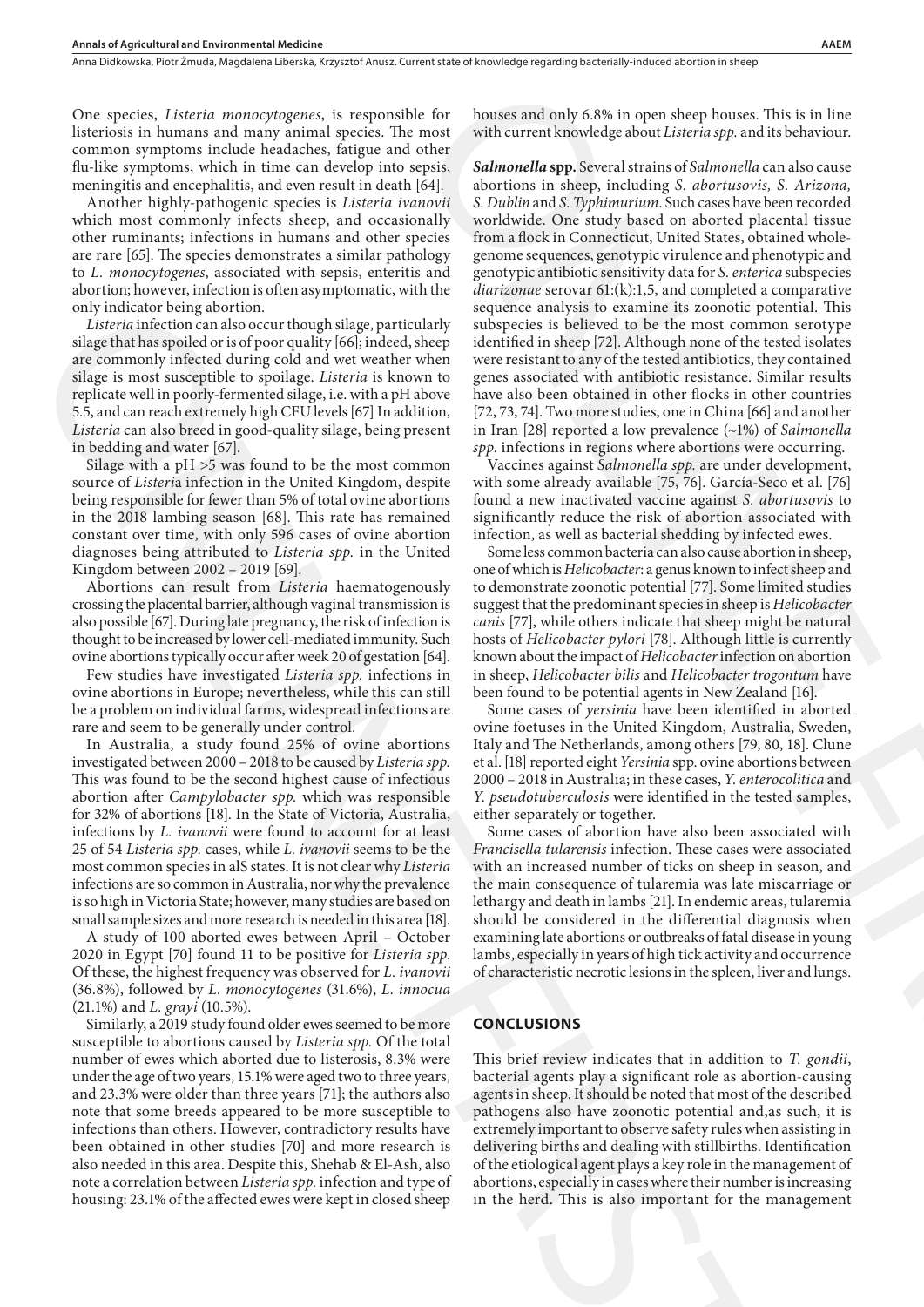One species, *Listeria monocytogenes*, is responsible for listeriosis in humans and many animal species. The most common symptoms include headaches, fatigue and other flu-like symptoms, which in time can develop into sepsis, meningitis and encephalitis, and even result in death [64].

Another highly-pathogenic species is *Listeria ivanovii*  which most commonly infects sheep, and occasionally other ruminants; infections in humans and other species are rare [65]. The species demonstrates a similar pathology to *L. monocytogenes*, associated with sepsis, enteritis and abortion; however, infection is often asymptomatic, with the only indicator being abortion.

*Listeria* infection can also occur though silage, particularly silage that has spoiled or is of poor quality [66]; indeed, sheep are commonly infected during cold and wet weather when silage is most susceptible to spoilage. *Listeria* is known to replicate well in poorly-fermented silage, i.e. with a pH above 5.5, and can reach extremely high CFU levels [67] In addition, *Listeria* can also breed in good-quality silage, being present in bedding and water [67].

Silage with a pH >5 was found to be the most common source of *Listeri*a infection in the United Kingdom, despite being responsible for fewer than 5% of total ovine abortions in the 2018 lambing season [68]. This rate has remained constant over time, with only 596 cases of ovine abortion diagnoses being attributed to *Listeria spp.* in the United Kingdom between 2002 – 2019 [69].

Abortions can result from *Listeria* haematogenously crossing the placental barrier, although vaginal transmission is also possible [67]. During late pregnancy, the risk of infection is thought to be increased by lower cell-mediated immunity. Such ovine abortions typically occur after week 20 of gestation [64].

Few studies have investigated *Listeria spp.* infections in ovine abortions in Europe; nevertheless, while this can still be a problem on individual farms, widespread infections are rare and seem to be generally under control.

In Australia, a study found 25% of ovine abortions investigated between 2000 – 2018 to be caused by *Listeria spp.* This was found to be the second highest cause of infectious abortion after *Campylobacter spp.* which was responsible for 32% of abortions [18]. In the State of Victoria, Australia, infections by *L. ivanovii* were found to account for at least 25 of 54 *Listeria spp.* cases, while *L. ivanovii* seems to be the most common species in alS states. It is not clear why *Listeria*  infections are so common in Australia, nor why the prevalence is so high in Victoria State; however, many studies are based on small sample sizes and more research is needed in this area [18].

A study of 100 aborted ewes between April – October 2020 in Egypt [70] found 11 to be positive for *Listeria spp*. Of these, the highest frequency was observed for *L. ivanovii*  (36.8%), followed by *L. monocytogenes* (31.6%), *L. innocua*  (21.1%) and *L. grayi* (10.5%).

Similarly, a 2019 study found older ewes seemed to be more susceptible to abortions caused by *Listeria spp.* Of the total number of ewes which aborted due to listerosis, 8.3% were under the age of two years, 15.1% were aged two to three years, and 23.3% were older than three years [71]; the authors also note that some breeds appeared to be more susceptible to infections than others. However, contradictory results have been obtained in other studies [70] and more research is also needed in this area. Despite this, Shehab & El-Ash, also note a correlation between *Listeria spp.* infection and type of housing: 23.1% of the affected ewes were kept in closed sheep only in the best can be easily a strong with the same of the same of the same of the same of the same of the same of the same of the same of the same of the same of the same of the same of the same of the same of the same

houses and only 6.8% in open sheep houses. This is in line with current knowledge about *Listeria spp.* and its behaviour.

*Salmonella* **spp.** Several strains of *Salmonella* can also cause abortions in sheep, including *S. abortusovis, S. Arizona, S. Dublin* and *S. Typhimurium*. Such cases have been recorded worldwide. One study based on aborted placental tissue from a flock in Connecticut, United States, obtained wholegenome sequences, genotypic virulence and phenotypic and genotypic antibiotic sensitivity data for *S. enterica* subspecies *diarizonae* serovar 61:(k):1,5, and completed a comparative sequence analysis to examine its zoonotic potential. This subspecies is believed to be the most common serotype identified in sheep [72]. Although none of the tested isolates were resistant to any of the tested antibiotics, they contained genes associated with antibiotic resistance. Similar results have also been obtained in other flocks in other countries [72, 73, 74]. Two more studies, one in China [66] and another in Iran [28] reported a low prevalence (~1%) of *Salmonella spp.* infections in regions where abortions were occurring. e for houses and only 6.8% in open sheep houses. This is in line<br>notice with current knowledge about *Listeria spy*, and its behaviour.<br>Where must with current knowledge about *Listeria spy*, and its case<br>to the molecular

Vaccines against *Salmonella spp.* are under development, with some already available [75, 76]. García-Seco et al. [76] found a new inactivated vaccine against *S. abortusovis* to significantly reduce the risk of abortion associated with infection, as well as bacterial shedding by infected ewes.

Some less common bacteria can also cause abortion in sheep, one of which is *Helicobacter*: a genus known to infect sheep and to demonstrate zoonotic potential [77]. Some limited studies suggest that the predominant species in sheep is *Helicobacter canis* [77], while others indicate that sheep might be natural hosts of *Helicobacter pylori* [78]. Although little is currently known about the impact of *Helicobacter* infection on abortion in sheep, *Helicobacter bilis* and *Helicobacter trogontum* have been found to be potential agents in New Zealand [16].

Some cases of *yersinia* have been identified in aborted ovine foetuses in the United Kingdom, Australia, Sweden, Italy and The Netherlands, among others [79, 80, 18]. Clune et al. [18] reported eight *Yersinia* spp. ovine abortions between 2000 – 2018 in Australia; in these cases, *Y. enterocolitica* and *Y. pseudotuberculosis* were identified in the tested samples, either separately or together.

Some cases of abortion have also been associated with *Francisella tularensis* infection. These cases were associated with an increased number of ticks on sheep in season, and the main consequence of tularemia was late miscarriage or lethargy and death in lambs [21]. In endemic areas, tularemia should be considered in the differential diagnosis when examining late abortions or outbreaks of fatal disease in young lambs, especially in years of high tick activity and occurrence of characteristic necrotic lesions in the spleen, liver and lungs.

#### **CONCLUSIONS**

This brief review indicates that in addition to *T. gondii*, bacterial agents play a significant role as abortion-causing agents in sheep. It should be noted that most of the described pathogens also have zoonotic potential and,as such, it is extremely important to observe safety rules when assisting in delivering births and dealing with stillbirths. Identification of the etiological agent plays a key role in the management of abortions, especially in cases where their number is increasing in the herd. This is also important for the management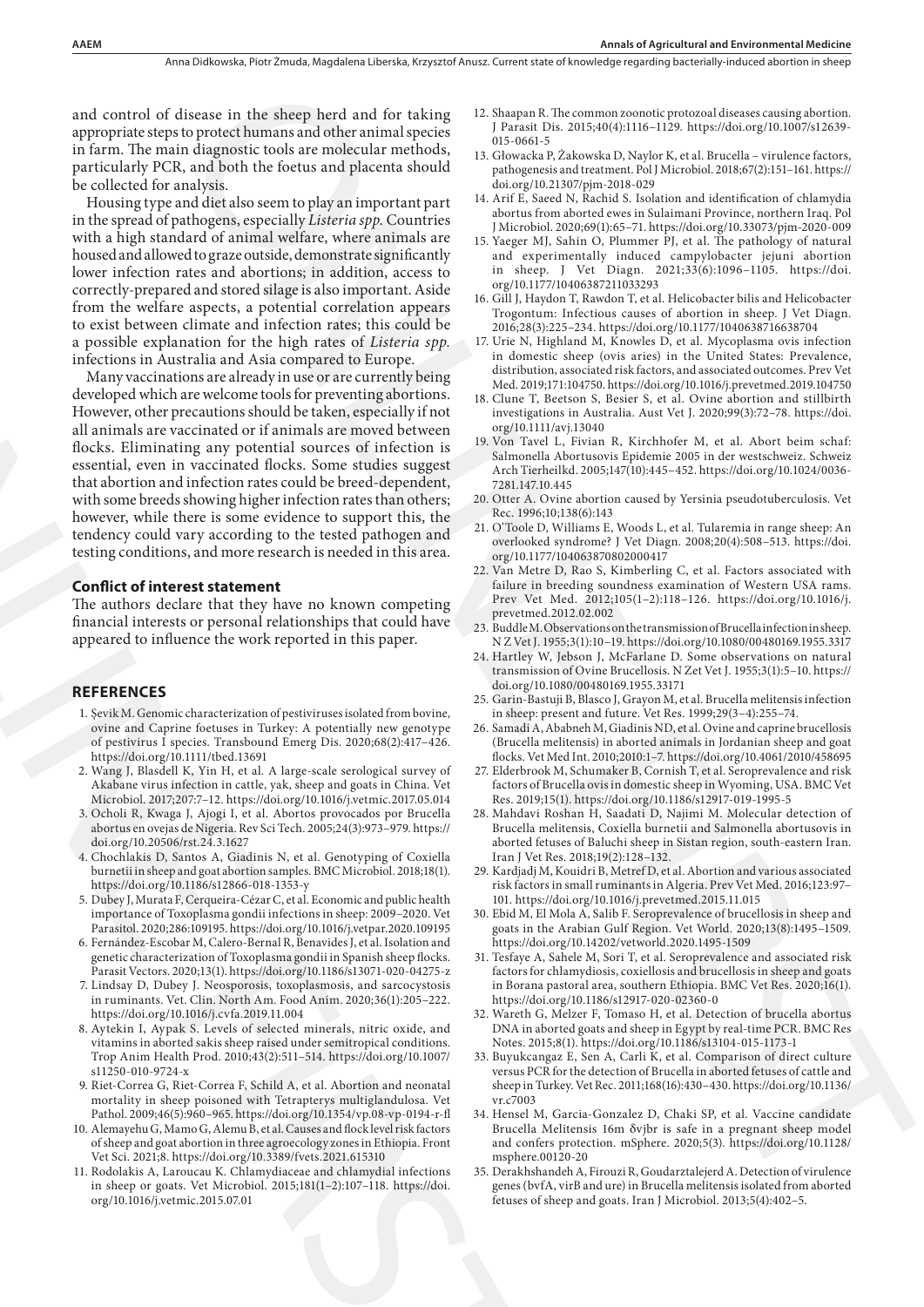and control of disease in the sheep herd and for taking appropriate steps to protect humans and other animal species in farm. The main diagnostic tools are molecular methods, particularly PCR, and both the foetus and placenta should be collected for analysis.

Housing type and diet also seem to play an important part in the spread of pathogens, especially *Listeria spp.* Countries with a high standard of animal welfare, where animals are housed and allowed to graze outside, demonstrate significantly lower infection rates and abortions; in addition, access to correctly-prepared and stored silage is also important. Aside from the welfare aspects, a potential correlation appears to exist between climate and infection rates; this could be a possible explanation for the high rates of *Listeria spp.*  infections in Australia and Asia compared to Europe.

Many vaccinations are already in use or are currently being developed which are welcome tools for preventing abortions. However, other precautions should be taken, especially if not all animals are vaccinated or if animals are moved between flocks. Eliminating any potential sources of infection is essential, even in vaccinated flocks. Some studies suggest that abortion and infection rates could be breed-dependent, with some breeds showing higher infection rates than others; however, while there is some evidence to support this, the tendency could vary according to the tested pathogen and testing conditions, and more research is needed in this area. dense in die Skerpe begrie in der Unternehmen werden einer an einer den einer an einer an einer an einer an einer an einer an einer an einer an einer an einer an einer an einer an einer an einer an einer an einer an einer From the welfare aspects, a potential correlation appears to the substitute of the high ratio of the high ratio of the high ratio of the high ratio of the high ratio of the high ratio of the high ratio of the high ratio o

#### **Conflict of interest statement**

The authors declare that they have no known competing financial interests or personal relationships that could have appeared to influence the work reported in this paper.

#### **REFERENCES**

- 1. Şevik M. Genomic characterization of pestiviruses isolated from bovine, ovine and Caprine foetuses in Turkey: A potentially new genotype of pestivirus I species. Transbound Emerg Dis. 2020;68(2):417–426. https://doi.org/10.1111/tbed.13691
- 2. Wang J, Blasdell K, Yin H, et al. A large-scale serological survey of Akabane virus infection in cattle, yak, sheep and goats in China. Vet Microbiol. 2017;207:7–12. https://doi.org/10.1016/j.vetmic.2017.05.014
- 3. Ocholi R, Kwaga J, Ajogi I, et al. Abortos provocados por Brucella abortus en ovejas de Nigeria. Rev Sci Tech. 2005;24(3):973–979. https:// doi.org/10.20506/rst.24.3.1627
- 4. Chochlakis D, Santos A, Giadinis N, et al. Genotyping of Coxiella burnetii in sheep and goat abortion samples. BMC Microbiol. 2018;18(1). https://doi.org/10.1186/s12866-018-1353-y
- 5. Dubey J, Murata F, Cerqueira-Cézar C, et al. Economic and public health importance of Toxoplasma gondii infections in sheep: 2009–2020. Vet Parasitol. 2020;286:109195. https://doi.org/10.1016/j.vetpar.2020.109195
- 6. Fernández-Escobar M, Calero-Bernal R, Benavides J, et al. Isolation and genetic characterization of Toxoplasma gondii in Spanish sheep flocks. Parasit Vectors. 2020;13(1). https://doi.org/10.1186/s13071-020-04275-z
- 7. Lindsay D, Dubey J. Neosporosis, toxoplasmosis, and sarcocystosis in ruminants. Vet. Clin. North Am. Food Anim. 2020;36(1):205–222. https://doi.org/10.1016/j.cvfa.2019.11.004
- 8. Aytekin I, Aypak S. Levels of selected minerals, nitric oxide, and vitamins in aborted sakis sheep raised under semitropical conditions. Trop Anim Health Prod. 2010;43(2):511–514. https://doi.org/10.1007/ s11250-010-9724-x
- 9. Riet-Correa G, Riet-Correa F, Schild A, et al. Abortion and neonatal mortality in sheep poisoned with Tetrapterys multiglandulosa. Vet Pathol. 2009;46(5):960–965. https://doi.org/10.1354/vp.08-vp-0194-r-fl
- 10. Alemayehu G, Mamo G, Alemu B, et al. Causes and flock level risk factors of sheep and goat abortion in three agroecology zones in Ethiopia. Front Vet Sci. 2021;8. https://doi.org/10.3389/fvets.2021.615310
- 11. Rodolakis A, Laroucau K. Chlamydiaceae and chlamydial infections in sheep or goats. Vet Microbiol. 2015;181(1–2):107–118. https://doi. org/10.1016/j.vetmic.2015.07.01
- 12. Shaapan R. The common zoonotic protozoal diseases causing abortion. J Parasit Dis. 2015;40(4):1116–1129. https://doi.org/10.1007/s12639- 015-0661-5
- 13. Głowacka P, Żakowska D, Naylor K, et al. Brucella virulence factors, pathogenesis and treatment. Pol J Microbiol. 2018;67(2):151–161. https:// doi.org/10.21307/pjm-2018-029
- 14. Arif E, Saeed N, Rachid S. Isolation and identification of chlamydia abortus from aborted ewes in Sulaimani Province, northern Iraq. Pol J Microbiol. 2020;69(1):65–71. https://doi.org/10.33073/pjm-2020-009
- 15. Yaeger MJ, Sahin O, Plummer PJ, et al. The pathology of natural and experimentally induced campylobacter jejuni abortion in sheep. J Vet Diagn. 2021;33(6):1096–1105. https://doi. org/10.1177/10406387211033293
- 16. Gill J, Haydon T, Rawdon T, et al. Helicobacter bilis and Helicobacter Trogontum: Infectious causes of abortion in sheep. J Vet Diagn. 2016;28(3):225–234. https://doi.org/10.1177/1040638716638704
- 17. Urie N, Highland M, Knowles D, et al. Mycoplasma ovis infection in domestic sheep (ovis aries) in the United States: Prevalence, distribution, associated risk factors, and associated outcomes. Prev Vet Med. 2019;171:104750. https://doi.org/10.1016/j.prevetmed.2019.104750
- 18. Clune T, Beetson S, Besier S, et al. Ovine abortion and stillbirth investigations in Australia. Aust Vet J. 2020;99(3):72–78. https://doi. org/10.1111/avj.13040
- 19. Von Tavel L, Fivian R, Kirchhofer M, et al. Abort beim schaf: Salmonella Abortusovis Epidemie 2005 in der westschweiz. Schweiz Arch Tierheilkd. 2005;147(10):445–452. https://doi.org/10.1024/0036- 7281.147.10.445
- 20. Otter A. Ovine abortion caused by Yersinia pseudotuberculosis. Vet Rec. 1996;10;138(6):143
- 21. O'Toole D, Williams E, Woods L, et al. Tularemia in range sheep: An overlooked syndrome? J Vet Diagn. 2008;20(4):508–513. https://doi. org/10.1177/104063870802000417
- 22. Van Metre D, Rao S, Kimberling C, et al. Factors associated with failure in breeding soundness examination of Western USA rams. Prev Vet Med. 2012;105(1–2):118–126. https://doi.org/10.1016/j. prevetmed.2012.02.002
- 23. Buddle M. Observations on the transmission of Brucella infection in sheep. N Z Vet J. 1955;3(1):10–19. https://doi.org/10.1080/00480169.1955.3317
- 24. Hartley W, Jebson J, McFarlane D. Some observations on natural transmission of Ovine Brucellosis. N Zet Vet J. 1955;3(1):5–10. https:// doi.org/10.1080/00480169.1955.33171
- 25. Garin-Bastuji B, Blasco J, Grayon M, et al. Brucella melitensis infection in sheep: present and future. Vet Res. 1999;29(3–4):255–74.
- 26. Samadi A, Ababneh M, Giadinis ND, et al. Ovine and caprine brucellosis (Brucella melitensis) in aborted animals in Jordanian sheep and goat flocks. Vet Med Int. 2010;2010:1–7. https://doi.org/10.4061/2010/458695
- 27. Elderbrook M, Schumaker B, Cornish T, et al. Seroprevalence and risk factors of Brucella ovis in domestic sheep in Wyoming, USA. BMC Vet Res. 2019;15(1). https://doi.org/10.1186/s12917-019-1995-5
- 28. Mahdavi Roshan H, Saadati D, Najimi M. Molecular detection of Brucella melitensis, Coxiella burnetii and Salmonella abortusovis in aborted fetuses of Baluchi sheep in Sistan region, south-eastern Iran. Iran J Vet Res. 2018;19(2):128–132.
- 29. Kardjadj M, Kouidri B, Metref D, et al. Abortion and various associated risk factors in small ruminants in Algeria. Prev Vet Med. 2016;123:97– 101. https://doi.org/10.1016/j.prevetmed.2015.11.015
- 30. Ebid M, El Mola A, Salib F. Seroprevalence of brucellosis in sheep and goats in the Arabian Gulf Region. Vet World. 2020;13(8):1495–1509. https://doi.org/10.14202/vetworld.2020.1495-1509
- 31. Tesfaye A, Sahele M, Sori T, et al. Seroprevalence and associated risk factors for chlamydiosis, coxiellosis and brucellosis in sheep and goats in Borana pastoral area, southern Ethiopia. BMC Vet Res. 2020;16(1). https://doi.org/10.1186/s12917-020-02360-0
- 32. Wareth G, Melzer F, Tomaso H, et al. Detection of brucella abortus DNA in aborted goats and sheep in Egypt by real-time PCR. BMC Res Notes. 2015;8(1). https://doi.org/10.1186/s13104-015-1173-1
- 33. Buyukcangaz E, Sen A, Carli K, et al. Comparison of direct culture versus PCR for the detection of Brucella in aborted fetuses of cattle and sheep in Turkey. Vet Rec. 2011;168(16):430–430. https://doi.org/10.1136/ vr.c7003
- 34. Hensel M, Garcia-Gonzalez D, Chaki SP, et al. Vaccine candidate Brucella Melitensis 16m δvjbr is safe in a pregnant sheep model and confers protection. mSphere. 2020;5(3). https://doi.org/10.1128/ msphere.00120-20
- 35. Derakhshandeh A, Firouzi R, Goudarztalejerd A. Detection of virulence genes (bvfA, virB and ure) in Brucella melitensis isolated from aborted fetuses of sheep and goats. Iran J Microbiol. 2013;5(4):402–5.